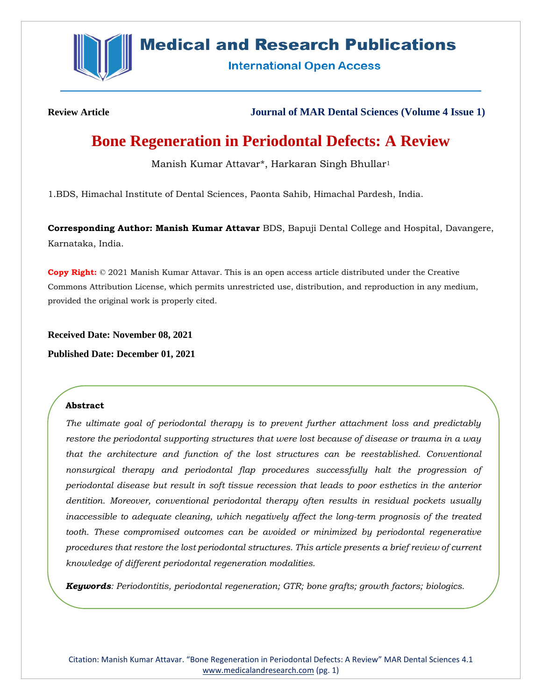

# **Medical and Research Publications**

**International Open Access** 

**Review Article Journal of MAR Dental Sciences (Volume 4 Issue 1)**

# **Bone Regeneration in Periodontal Defects: A Review**

Manish Kumar Attavar\*, Harkaran Singh Bhullar<sup>1</sup>

1.BDS, Himachal Institute of Dental Sciences, Paonta Sahib, Himachal Pardesh, India.

**Corresponding Author: Manish Kumar Attavar** BDS, Bapuji Dental College and Hospital, Davangere, Karnataka, India.

**Copy Right:** © 2021 Manish Kumar Attavar. This is an open access article distributed under the Creative Commons Attribution License, which permits unrestricted use, distribution, and reproduction in any medium, provided the original work is properly cited.

**Received Date: November 08, 2021**

**Published Date: December 01, 2021**

# **Abstract**

*The ultimate goal of periodontal therapy is to prevent further attachment loss and predictably restore the periodontal supporting structures that were lost because of disease or trauma in a way that the architecture and function of the lost structures can be reestablished. Conventional nonsurgical therapy and periodontal flap procedures successfully halt the progression of periodontal disease but result in soft tissue recession that leads to poor esthetics in the anterior dentition. Moreover, conventional periodontal therapy often results in residual pockets usually inaccessible to adequate cleaning, which negatively affect the long-term prognosis of the treated tooth. These compromised outcomes can be avoided or minimized by periodontal regenerative procedures that restore the lost periodontal structures. This article presents a brief review of current knowledge of different periodontal regeneration modalities.*

*Keywords: Periodontitis, periodontal regeneration; GTR; bone grafts; growth factors; biologics.*

Citation: Manish Kumar Attavar. "Bone Regeneration in Periodontal Defects: A Review" MAR Dental Sciences 4.1 [www.medicalandresearch.com](http://www.medicalandresearch.com/) (pg. 1)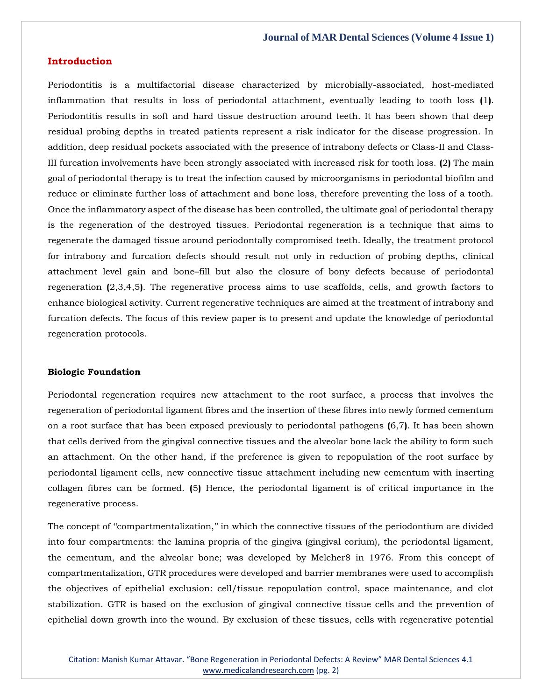## **Introduction**

Periodontitis is a multifactorial disease characterized by microbially-associated, host-mediated inflammation that results in loss of periodontal attachment, eventually leading to tooth loss **(**1**)**. Periodontitis results in soft and hard tissue destruction around teeth. It has been shown that deep residual probing depths in treated patients represent a risk indicator for the disease progression. In addition, deep residual pockets associated with the presence of intrabony defects or Class-II and Class-III furcation involvements have been strongly associated with increased risk for tooth loss. **(**2**)** The main goal of periodontal therapy is to treat the infection caused by microorganisms in periodontal biofilm and reduce or eliminate further loss of attachment and bone loss, therefore preventing the loss of a tooth. Once the inflammatory aspect of the disease has been controlled, the ultimate goal of periodontal therapy is the regeneration of the destroyed tissues. Periodontal regeneration is a technique that aims to regenerate the damaged tissue around periodontally compromised teeth. Ideally, the treatment protocol for intrabony and furcation defects should result not only in reduction of probing depths, clinical attachment level gain and bone–fill but also the closure of bony defects because of periodontal regeneration **(**2,3,4,5**)**. The regenerative process aims to use scaffolds, cells, and growth factors to enhance biological activity. Current regenerative techniques are aimed at the treatment of intrabony and furcation defects. The focus of this review paper is to present and update the knowledge of periodontal regeneration protocols.

#### **Biologic Foundation**

Periodontal regeneration requires new attachment to the root surface, a process that involves the regeneration of periodontal ligament fibres and the insertion of these fibres into newly formed cementum on a root surface that has been exposed previously to periodontal pathogens **(**6,7**)**. It has been shown that cells derived from the gingival connective tissues and the alveolar bone lack the ability to form such an attachment. On the other hand, if the preference is given to repopulation of the root surface by periodontal ligament cells, new connective tissue attachment including new cementum with inserting collagen fibres can be formed. **(**5**)** Hence, the periodontal ligament is of critical importance in the regenerative process.

The concept of ''compartmentalization,'' in which the connective tissues of the periodontium are divided into four compartments: the lamina propria of the gingiva (gingival corium), the periodontal ligament, the cementum, and the alveolar bone; was developed by Melcher8 in 1976. From this concept of compartmentalization, GTR procedures were developed and barrier membranes were used to accomplish the objectives of epithelial exclusion: cell/tissue repopulation control, space maintenance, and clot stabilization. GTR is based on the exclusion of gingival connective tissue cells and the prevention of epithelial down growth into the wound. By exclusion of these tissues, cells with regenerative potential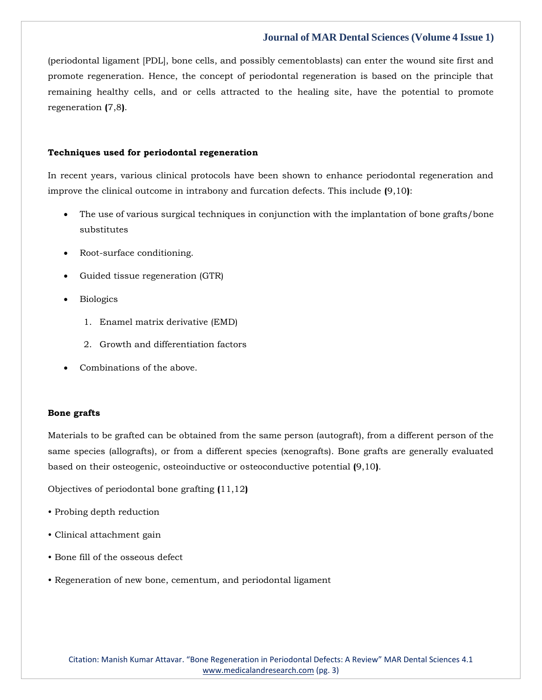(periodontal ligament [PDL], bone cells, and possibly cementoblasts) can enter the wound site first and promote regeneration. Hence, the concept of periodontal regeneration is based on the principle that remaining healthy cells, and or cells attracted to the healing site, have the potential to promote regeneration **(**7,8**)**.

#### **Techniques used for periodontal regeneration**

In recent years, various clinical protocols have been shown to enhance periodontal regeneration and improve the clinical outcome in intrabony and furcation defects. This include **(**9,10**)**:

- The use of various surgical techniques in conjunction with the implantation of bone grafts/bone substitutes
- Root-surface conditioning.
- Guided tissue regeneration (GTR)
- Biologics
	- 1. Enamel matrix derivative (EMD)
	- 2. Growth and differentiation factors
- Combinations of the above.

#### **Bone grafts**

Materials to be grafted can be obtained from the same person (autograft), from a different person of the same species (allografts), or from a different species (xenografts). Bone grafts are generally evaluated based on their osteogenic, osteoinductive or osteoconductive potential **(**9,10**)**.

Objectives of periodontal bone grafting **(**11,12**)**

- Probing depth reduction
- Clinical attachment gain
- Bone fill of the osseous defect
- Regeneration of new bone, cementum, and periodontal ligament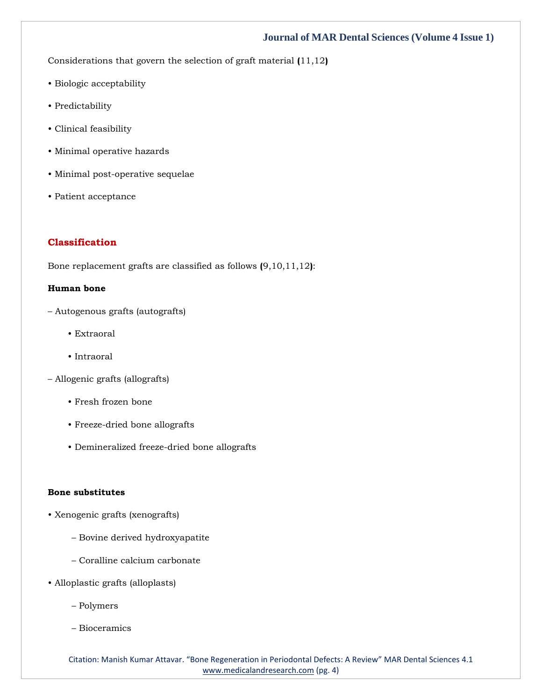Considerations that govern the selection of graft material **(**11,12**)**

- Biologic acceptability
- Predictability
- Clinical feasibility
- Minimal operative hazards
- Minimal post-operative sequelae
- Patient acceptance

# **Classification**

Bone replacement grafts are classified as follows **(**9,10,11,12**)**:

# **Human bone**

- Autogenous grafts (autografts)
	- Extraoral
	- Intraoral
- Allogenic grafts (allografts)
	- Fresh frozen bone
	- Freeze-dried bone allografts
	- Demineralized freeze-dried bone allografts

#### **Bone substitutes**

- Xenogenic grafts (xenografts)
	- Bovine derived hydroxyapatite
	- Coralline calcium carbonate
- Alloplastic grafts (alloplasts)
	- Polymers
	- Bioceramics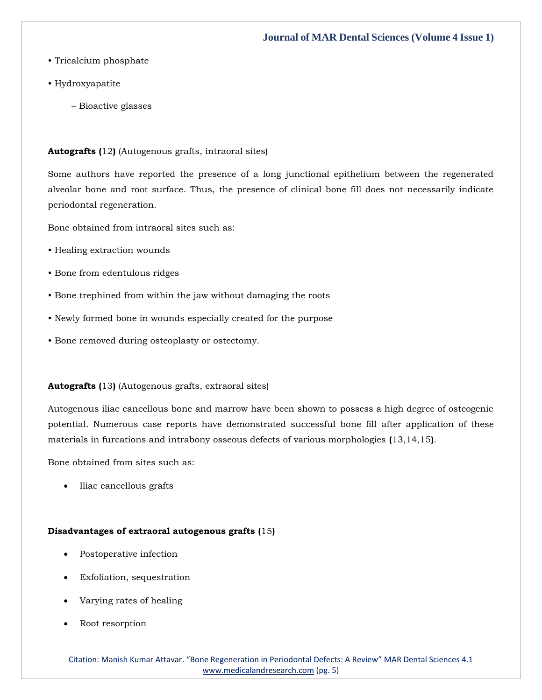- Tricalcium phosphate
- Hydroxyapatite
	- Bioactive glasses

**Autografts (**12**)** (Autogenous grafts, intraoral sites)

Some authors have reported the presence of a long junctional epithelium between the regenerated alveolar bone and root surface. Thus, the presence of clinical bone fill does not necessarily indicate periodontal regeneration.

Bone obtained from intraoral sites such as:

- Healing extraction wounds
- Bone from edentulous ridges
- Bone trephined from within the jaw without damaging the roots
- Newly formed bone in wounds especially created for the purpose
- Bone removed during osteoplasty or ostectomy.

## **Autografts (**13**)** (Autogenous grafts, extraoral sites)

Autogenous iliac cancellous bone and marrow have been shown to possess a high degree of osteogenic potential. Numerous case reports have demonstrated successful bone fill after application of these materials in furcations and intrabony osseous defects of various morphologies **(**13,14,15**)**.

Bone obtained from sites such as:

• Iliac cancellous grafts

## **Disadvantages of extraoral autogenous grafts (**15**)**

- Postoperative infection
- Exfoliation, sequestration
- Varying rates of healing
- Root resorption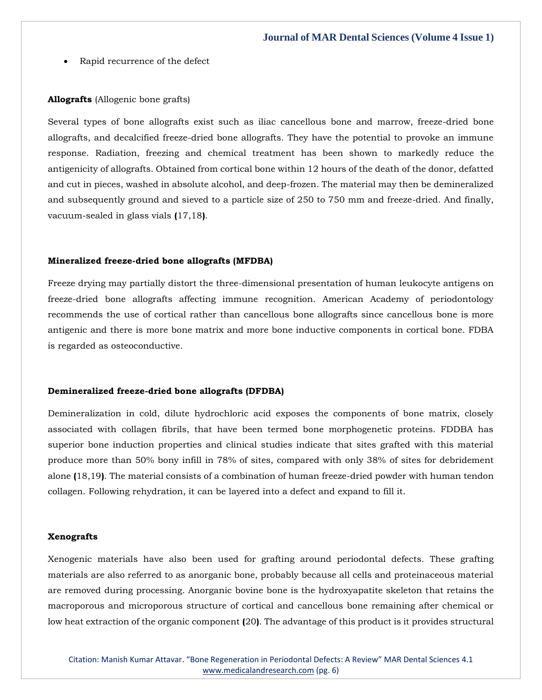Rapid recurrence of the defect

#### **Allografts** (Allogenic bone grafts)

Several types of bone allografts exist such as iliac cancellous bone and marrow, freeze-dried bone allografts, and decalcified freeze-dried bone allografts. They have the potential to provoke an immune response. Radiation, freezing and chemical treatment has been shown to markedly reduce the antigenicity of allografts. Obtained from cortical bone within 12 hours of the death of the donor, defatted and cut in pieces, washed in absolute alcohol, and deep-frozen. The material may then be demineralized and subsequently ground and sieved to a particle size of 250 to 750 mm and freeze-dried. And finally, vacuum-sealed in glass vials **(**17,18**)**.

#### **Mineralized freeze-dried bone allografts (MFDBA)**

Freeze drying may partially distort the three-dimensional presentation of human leukocyte antigens on freeze-dried bone allografts affecting immune recognition. American Academy of periodontology recommends the use of cortical rather than cancellous bone allografts since cancellous bone is more antigenic and there is more bone matrix and more bone inductive components in cortical bone. FDBA is regarded as osteoconductive.

## **Demineralized freeze-dried bone allografts (DFDBA)**

Demineralization in cold, dilute hydrochloric acid exposes the components of bone matrix, closely associated with collagen fibrils, that have been termed bone morphogenetic proteins. FDDBA has superior bone induction properties and clinical studies indicate that sites grafted with this material produce more than 50% bony infill in 78% of sites, compared with only 38% of sites for debridement alone **(**18,19**)**. The material consists of a combination of human freeze-dried powder with human tendon collagen. Following rehydration, it can be layered into a defect and expand to fill it.

#### **Xenografts**

Xenogenic materials have also been used for grafting around periodontal defects. These grafting materials are also referred to as anorganic bone, probably because all cells and proteinaceous material are removed during processing. Anorganic bovine bone is the hydroxyapatite skeleton that retains the macroporous and microporous structure of cortical and cancellous bone remaining after chemical or low heat extraction of the organic component **(**20**)**. The advantage of this product is it provides structural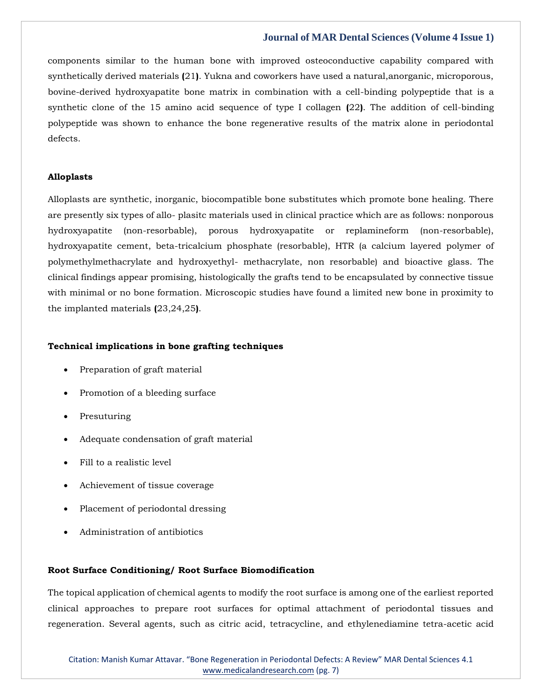components similar to the human bone with improved osteoconductive capability compared with synthetically derived materials **(**21**)**. Yukna and coworkers have used a natural,anorganic, microporous, bovine-derived hydroxyapatite bone matrix in combination with a cell-binding polypeptide that is a synthetic clone of the 15 amino acid sequence of type I collagen **(**22**)**. The addition of cell-binding polypeptide was shown to enhance the bone regenerative results of the matrix alone in periodontal defects.

### **Alloplasts**

Alloplasts are synthetic, inorganic, biocompatible bone substitutes which promote bone healing. There are presently six types of allo- plasitc materials used in clinical practice which are as follows: nonporous hydroxyapatite (non-resorbable), porous hydroxyapatite or replamineform (non-resorbable), hydroxyapatite cement, beta-tricalcium phosphate (resorbable), HTR (a calcium layered polymer of polymethylmethacrylate and hydroxyethyl- methacrylate, non resorbable) and bioactive glass. The clinical findings appear promising, histologically the grafts tend to be encapsulated by connective tissue with minimal or no bone formation. Microscopic studies have found a limited new bone in proximity to the implanted materials **(**23,24,25**)**.

## **Technical implications in bone grafting techniques**

- Preparation of graft material
- Promotion of a bleeding surface
- Presuturing
- Adequate condensation of graft material
- Fill to a realistic level
- Achievement of tissue coverage
- Placement of periodontal dressing
- Administration of antibiotics

## **Root Surface Conditioning/ Root Surface Biomodification**

The topical application of chemical agents to modify the root surface is among one of the earliest reported clinical approaches to prepare root surfaces for optimal attachment of periodontal tissues and regeneration. Several agents, such as citric acid, tetracycline, and ethylenediamine tetra-acetic acid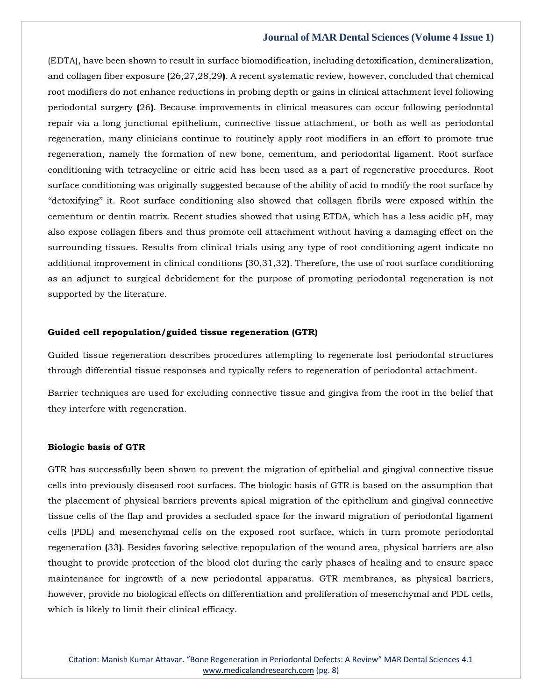(EDTA), have been shown to result in surface biomodification, including detoxification, demineralization, and collagen fiber exposure **(**26,27,28,29**)**. A recent systematic review, however, concluded that chemical root modifiers do not enhance reductions in probing depth or gains in clinical attachment level following periodontal surgery **(**26**)**. Because improvements in clinical measures can occur following periodontal repair via a long junctional epithelium, connective tissue attachment, or both as well as periodontal regeneration, many clinicians continue to routinely apply root modifiers in an effort to promote true regeneration, namely the formation of new bone, cementum, and periodontal ligament. Root surface conditioning with tetracycline or citric acid has been used as a part of regenerative procedures. Root surface conditioning was originally suggested because of the ability of acid to modify the root surface by ''detoxifying'' it. Root surface conditioning also showed that collagen fibrils were exposed within the cementum or dentin matrix. Recent studies showed that using ETDA, which has a less acidic pH, may also expose collagen fibers and thus promote cell attachment without having a damaging effect on the surrounding tissues. Results from clinical trials using any type of root conditioning agent indicate no additional improvement in clinical conditions **(**30,31,32**)**. Therefore, the use of root surface conditioning as an adjunct to surgical debridement for the purpose of promoting periodontal regeneration is not supported by the literature.

## **Guided cell repopulation/guided tissue regeneration (GTR)**

Guided tissue regeneration describes procedures attempting to regenerate lost periodontal structures through differential tissue responses and typically refers to regeneration of periodontal attachment.

Barrier techniques are used for excluding connective tissue and gingiva from the root in the belief that they interfere with regeneration.

#### **Biologic basis of GTR**

GTR has successfully been shown to prevent the migration of epithelial and gingival connective tissue cells into previously diseased root surfaces. The biologic basis of GTR is based on the assumption that the placement of physical barriers prevents apical migration of the epithelium and gingival connective tissue cells of the flap and provides a secluded space for the inward migration of periodontal ligament cells (PDL) and mesenchymal cells on the exposed root surface, which in turn promote periodontal regeneration **(**33**)**. Besides favoring selective repopulation of the wound area, physical barriers are also thought to provide protection of the blood clot during the early phases of healing and to ensure space maintenance for ingrowth of a new periodontal apparatus. GTR membranes, as physical barriers, however, provide no biological effects on differentiation and proliferation of mesenchymal and PDL cells, which is likely to limit their clinical efficacy.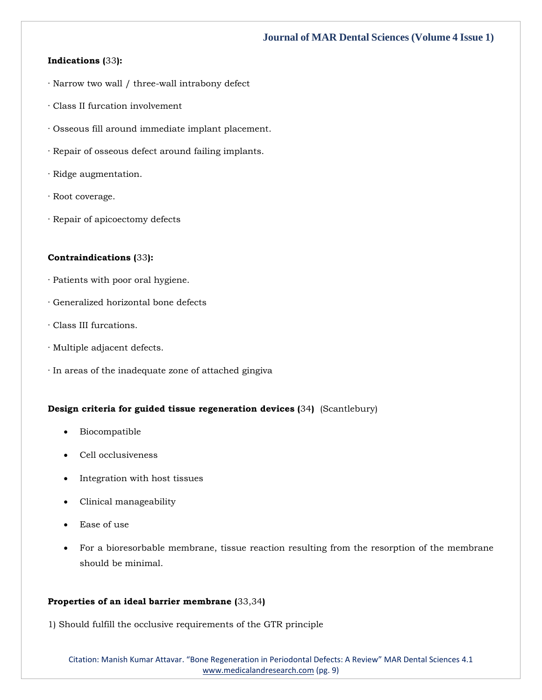# **Indications (**33**):**

- · Narrow two wall / three-wall intrabony defect
- · Class II furcation involvement
- · Osseous fill around immediate implant placement.
- · Repair of osseous defect around failing implants.
- · Ridge augmentation.
- · Root coverage.
- · Repair of apicoectomy defects

## **Contraindications (**33**):**

- · Patients with poor oral hygiene.
- · Generalized horizontal bone defects
- · Class III furcations.
- · Multiple adjacent defects.
- · In areas of the inadequate zone of attached gingiva

## **Design criteria for guided tissue regeneration devices (**34**)** (Scantlebury)

- Biocompatible
- Cell occlusiveness
- Integration with host tissues
- Clinical manageability
- Ease of use
- For a bioresorbable membrane, tissue reaction resulting from the resorption of the membrane should be minimal.

## **Properties of an ideal barrier membrane (**33,34**)**

1) Should fulfill the occlusive requirements of the GTR principle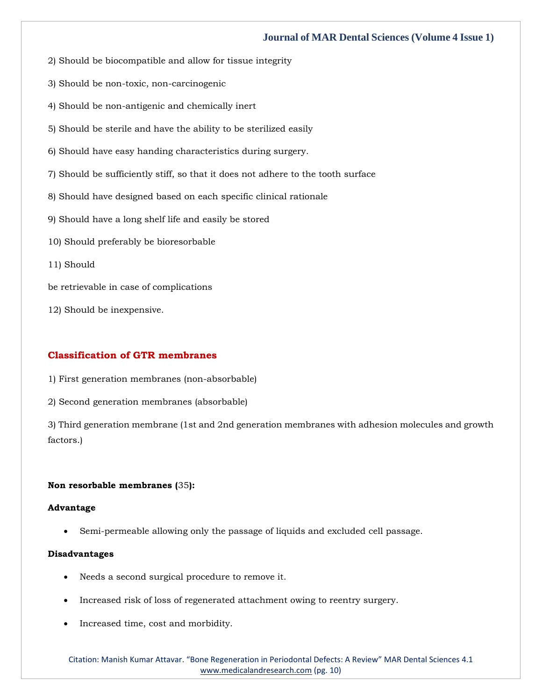- 2) Should be biocompatible and allow for tissue integrity
- 3) Should be non-toxic, non-carcinogenic
- 4) Should be non-antigenic and chemically inert
- 5) Should be sterile and have the ability to be sterilized easily
- 6) Should have easy handing characteristics during surgery.
- 7) Should be sufficiently stiff, so that it does not adhere to the tooth surface
- 8) Should have designed based on each specific clinical rationale
- 9) Should have a long shelf life and easily be stored
- 10) Should preferably be bioresorbable
- 11) Should
- be retrievable in case of complications
- 12) Should be inexpensive.

## **Classification of GTR membranes**

- 1) First generation membranes (non-absorbable)
- 2) Second generation membranes (absorbable)

3) Third generation membrane (1st and 2nd generation membranes with adhesion molecules and growth factors.)

## **Non resorbable membranes (**35**):**

## **Advantage**

• Semi-permeable allowing only the passage of liquids and excluded cell passage.

## **Disadvantages**

- Needs a second surgical procedure to remove it.
- Increased risk of loss of regenerated attachment owing to reentry surgery.
- Increased time, cost and morbidity.

Citation: Manish Kumar Attavar. "Bone Regeneration in Periodontal Defects: A Review" MAR Dental Sciences 4.1 [www.medicalandresearch.com](http://www.medicalandresearch.com/) (pg. 10)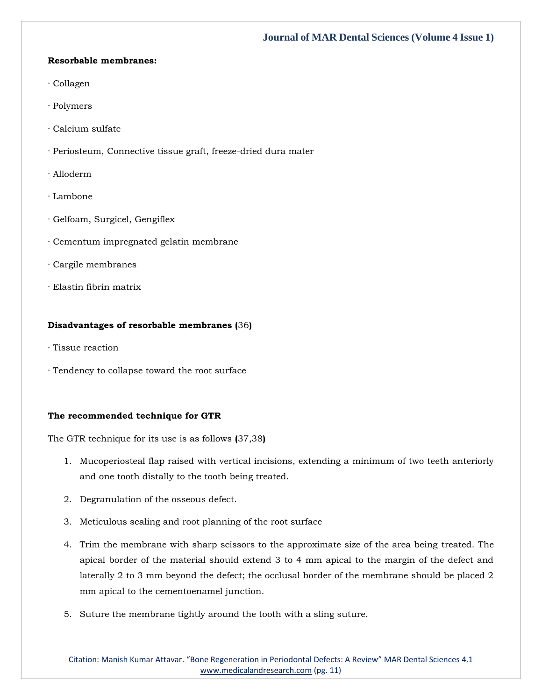## **Resorbable membranes:**

- · Collagen
- · Polymers
- · Calcium sulfate
- · Periosteum, Connective tissue graft, freeze-dried dura mater
- · Alloderm
- · Lambone
- · Gelfoam, Surgicel, Gengiflex
- · Cementum impregnated gelatin membrane
- · Cargile membranes
- · Elastin fibrin matrix

## **Disadvantages of resorbable membranes (**36**)**

- · Tissue reaction
- · Tendency to collapse toward the root surface

# **The recommended technique for GTR**

The GTR technique for its use is as follows **(**37,38**)**

- 1. Mucoperiosteal flap raised with vertical incisions, extending a minimum of two teeth anteriorly and one tooth distally to the tooth being treated.
- 2. Degranulation of the osseous defect.
- 3. Meticulous scaling and root planning of the root surface
- 4. Trim the membrane with sharp scissors to the approximate size of the area being treated. The apical border of the material should extend 3 to 4 mm apical to the margin of the defect and laterally 2 to 3 mm beyond the defect; the occlusal border of the membrane should be placed 2 mm apical to the cementoenamel junction.
- 5. Suture the membrane tightly around the tooth with a sling suture.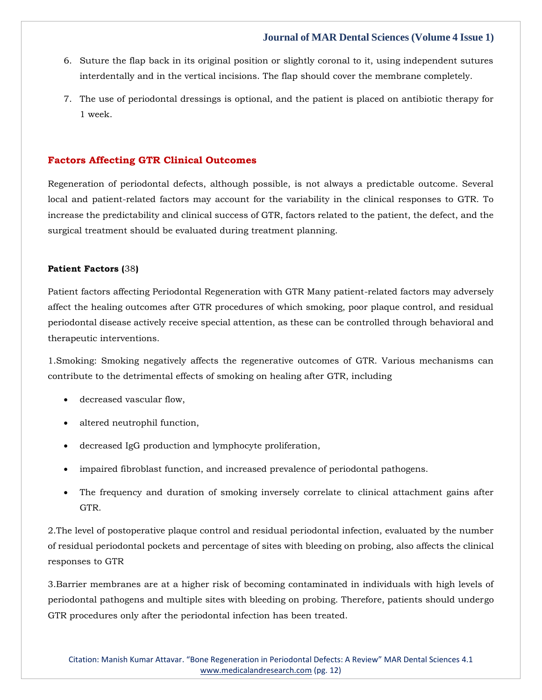- 6. Suture the flap back in its original position or slightly coronal to it, using independent sutures interdentally and in the vertical incisions. The flap should cover the membrane completely.
- 7. The use of periodontal dressings is optional, and the patient is placed on antibiotic therapy for 1 week.

# **Factors Affecting GTR Clinical Outcomes**

Regeneration of periodontal defects, although possible, is not always a predictable outcome. Several local and patient-related factors may account for the variability in the clinical responses to GTR. To increase the predictability and clinical success of GTR, factors related to the patient, the defect, and the surgical treatment should be evaluated during treatment planning.

## **Patient Factors (**38**)**

Patient factors affecting Periodontal Regeneration with GTR Many patient-related factors may adversely affect the healing outcomes after GTR procedures of which smoking, poor plaque control, and residual periodontal disease actively receive special attention, as these can be controlled through behavioral and therapeutic interventions.

1.Smoking: Smoking negatively affects the regenerative outcomes of GTR. Various mechanisms can contribute to the detrimental effects of smoking on healing after GTR, including

- decreased vascular flow,
- altered neutrophil function,
- decreased IgG production and lymphocyte proliferation,
- impaired fibroblast function, and increased prevalence of periodontal pathogens.
- The frequency and duration of smoking inversely correlate to clinical attachment gains after GTR.

2.The level of postoperative plaque control and residual periodontal infection, evaluated by the number of residual periodontal pockets and percentage of sites with bleeding on probing, also affects the clinical responses to GTR

3.Barrier membranes are at a higher risk of becoming contaminated in individuals with high levels of periodontal pathogens and multiple sites with bleeding on probing. Therefore, patients should undergo GTR procedures only after the periodontal infection has been treated.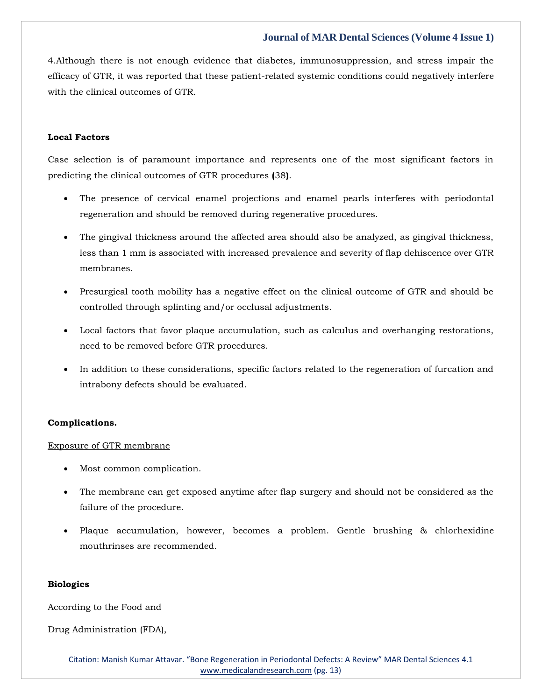4.Although there is not enough evidence that diabetes, immunosuppression, and stress impair the efficacy of GTR, it was reported that these patient-related systemic conditions could negatively interfere with the clinical outcomes of GTR.

## **Local Factors**

Case selection is of paramount importance and represents one of the most significant factors in predicting the clinical outcomes of GTR procedures **(**38**)**.

- The presence of cervical enamel projections and enamel pearls interferes with periodontal regeneration and should be removed during regenerative procedures.
- The gingival thickness around the affected area should also be analyzed, as gingival thickness, less than 1 mm is associated with increased prevalence and severity of flap dehiscence over GTR membranes.
- Presurgical tooth mobility has a negative effect on the clinical outcome of GTR and should be controlled through splinting and/or occlusal adjustments.
- Local factors that favor plaque accumulation, such as calculus and overhanging restorations, need to be removed before GTR procedures.
- In addition to these considerations, specific factors related to the regeneration of furcation and intrabony defects should be evaluated.

## **Complications.**

#### Exposure of GTR membrane

- Most common complication.
- The membrane can get exposed anytime after flap surgery and should not be considered as the failure of the procedure.
- Plaque accumulation, however, becomes a problem. Gentle brushing & chlorhexidine mouthrinses are recommended.

#### **Biologics**

According to the Food and

Drug Administration (FDA),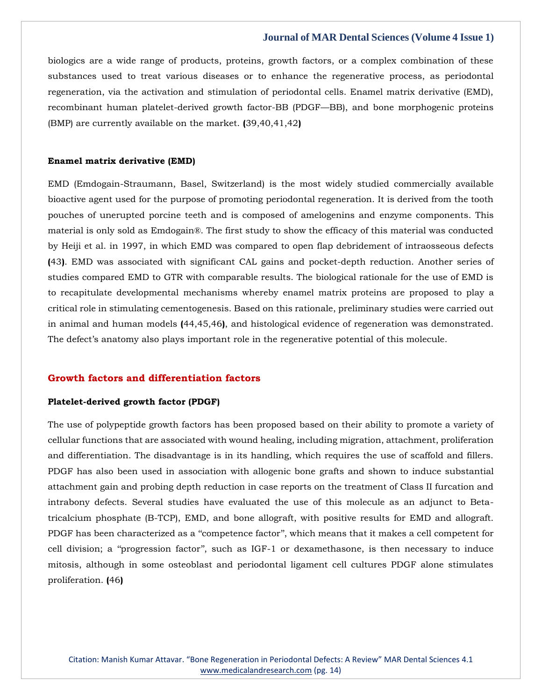biologics are a wide range of products, proteins, growth factors, or a complex combination of these substances used to treat various diseases or to enhance the regenerative process, as periodontal regeneration, via the activation and stimulation of periodontal cells. Enamel matrix derivative (EMD), recombinant human platelet-derived growth factor-BB (PDGF—BB), and bone morphogenic proteins (BMP) are currently available on the market. **(**39,40,41,42**)**

### **Enamel matrix derivative (EMD)**

EMD (Emdogain-Straumann, Basel, Switzerland) is the most widely studied commercially available bioactive agent used for the purpose of promoting periodontal regeneration. It is derived from the tooth pouches of unerupted porcine teeth and is composed of amelogenins and enzyme components. This material is only sold as Emdogain®. The first study to show the efficacy of this material was conducted by Heiji et al. in 1997, in which EMD was compared to open flap debridement of intraosseous defects **(**43**)**. EMD was associated with significant CAL gains and pocket-depth reduction. Another series of studies compared EMD to GTR with comparable results. The biological rationale for the use of EMD is to recapitulate developmental mechanisms whereby enamel matrix proteins are proposed to play a critical role in stimulating cementogenesis. Based on this rationale, preliminary studies were carried out in animal and human models **(**44,45,46**)**, and histological evidence of regeneration was demonstrated. The defect's anatomy also plays important role in the regenerative potential of this molecule.

# **Growth factors and differentiation factors**

#### **Platelet-derived growth factor (PDGF)**

The use of polypeptide growth factors has been proposed based on their ability to promote a variety of cellular functions that are associated with wound healing, including migration, attachment, proliferation and differentiation. The disadvantage is in its handling, which requires the use of scaffold and fillers. PDGF has also been used in association with allogenic bone grafts and shown to induce substantial attachment gain and probing depth reduction in case reports on the treatment of Class II furcation and intrabony defects. Several studies have evaluated the use of this molecule as an adjunct to Betatricalcium phosphate (B-TCP), EMD, and bone allograft, with positive results for EMD and allograft. PDGF has been characterized as a ''competence factor'', which means that it makes a cell competent for cell division; a ''progression factor'', such as IGF-1 or dexamethasone, is then necessary to induce mitosis, although in some osteoblast and periodontal ligament cell cultures PDGF alone stimulates proliferation. **(**46**)**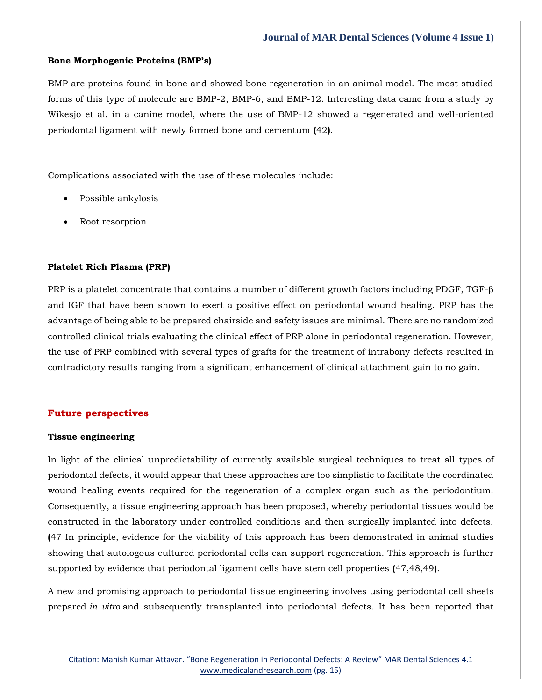#### **Bone Morphogenic Proteins (BMP's)**

BMP are proteins found in bone and showed bone regeneration in an animal model. The most studied forms of this type of molecule are BMP-2, BMP-6, and BMP-12. Interesting data came from a study by Wikesjo et al. in a canine model, where the use of BMP-12 showed a regenerated and well-oriented periodontal ligament with newly formed bone and cementum **(**42**)**.

Complications associated with the use of these molecules include:

- Possible ankylosis
- Root resorption

## **Platelet Rich Plasma (PRP)**

PRP is a platelet concentrate that contains a number of different growth factors including PDGF, TGF-β and IGF that have been shown to exert a positive effect on periodontal wound healing. PRP has the advantage of being able to be prepared chairside and safety issues are minimal. There are no randomized controlled clinical trials evaluating the clinical effect of PRP alone in periodontal regeneration. However, the use of PRP combined with several types of grafts for the treatment of intrabony defects resulted in contradictory results ranging from a significant enhancement of clinical attachment gain to no gain.

## **Future perspectives**

## **Tissue engineering**

In light of the clinical unpredictability of currently available surgical techniques to treat all types of periodontal defects, it would appear that these approaches are too simplistic to facilitate the coordinated wound healing events required for the regeneration of a complex organ such as the periodontium. Consequently, a tissue engineering approach has been proposed, whereby periodontal tissues would be constructed in the laboratory under controlled conditions and then surgically implanted into defects. **(**47 In principle, evidence for the viability of this approach has been demonstrated in animal studies showing that autologous cultured periodontal cells can support regeneration. This approach is further supported by evidence that periodontal ligament cells have stem cell properties **(**47,48,49**)**.

A new and promising approach to periodontal tissue engineering involves using periodontal cell sheets prepared *in vitro* and subsequently transplanted into periodontal defects. It has been reported that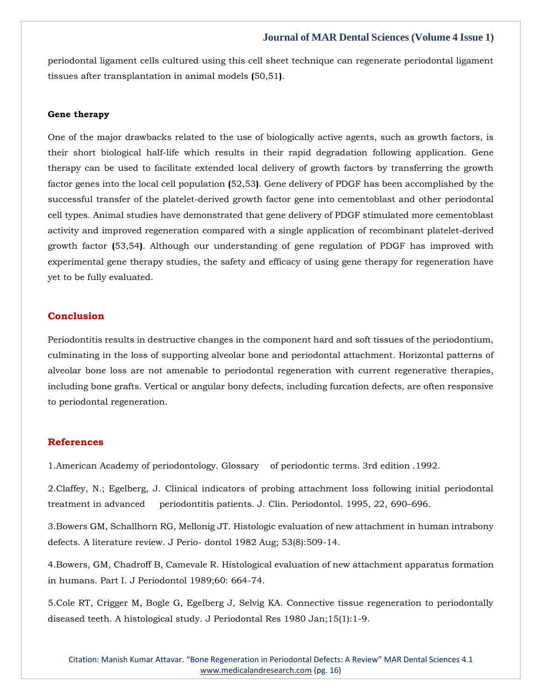periodontal ligament cells cultured using this cell sheet technique can regenerate periodontal ligament tissues after transplantation in animal models **(**50,51**)**.

#### **Gene therapy**

One of the major drawbacks related to the use of biologically active agents, such as growth factors, is their short biological half-life which results in their rapid degradation following application. Gene therapy can be used to facilitate extended local delivery of growth factors by transferring the growth factor genes into the local cell population **(**52,53**)**. Gene delivery of PDGF has been accomplished by the successful transfer of the platelet-derived growth factor gene into cementoblast and other periodontal cell types. Animal studies have demonstrated that gene delivery of PDGF stimulated more cementoblast activity and improved regeneration compared with a single application of recombinant platelet-derived growth factor **(**53,54**)**. Although our understanding of gene regulation of PDGF has improved with experimental gene therapy studies, the safety and efficacy of using gene therapy for regeneration have yet to be fully evaluated.

# **Conclusion**

Periodontitis results in destructive changes in the component hard and soft tissues of the periodontium, culminating in the loss of supporting alveolar bone and periodontal attachment. Horizontal patterns of alveolar bone loss are not amenable to periodontal regeneration with current regenerative therapies, including bone grafts. Vertical or angular bony defects, including furcation defects, are often responsive to periodontal regeneration.

## **References**

1.American Academy of periodontology. Glossary of periodontic terms. 3rd edition .1992.

2.Claffey, N.; Egelberg, J. Clinical indicators of probing attachment loss following initial periodontal treatment in advanced periodontitis patients. J. Clin. Periodontol. 1995, 22, 690–696.

3.Bowers GM, Schallhorn RG, Mellonig JT. Histologic evaluation of new attachment in human intrabony defects. A literature review. J Perio- dontol 1982 Aug; 53(8):509-14.

4.Bowers, GM, Chadroff B, Camevale R. Histological evaluation of new attachment apparatus formation in humans. Part I. J Periodontol 1989;60: 664-74.

5.Cole RT, Crigger M, Bogle G, Egelberg J, Selvig KA. Connective tissue regeneration to periodontally diseased teeth. A histological study. J Periodontal Res 1980 Jan;15(1):1-9.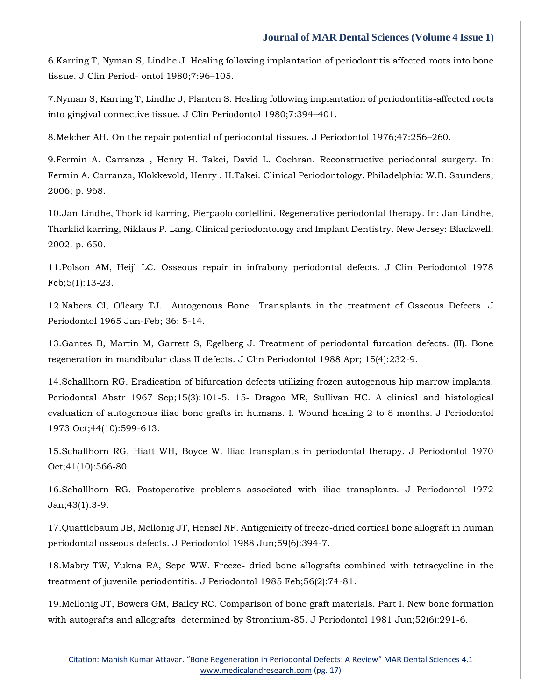6.Karring T, Nyman S, Lindhe J. Healing following implantation of periodontitis affected roots into bone tissue. J Clin Period- ontol 1980;7:96–105.

7.Nyman S, Karring T, Lindhe J, Planten S. Healing following implantation of periodontitis-affected roots into gingival connective tissue. J Clin Periodontol 1980;7:394–401.

8.Melcher AH. On the repair potential of periodontal tissues. J Periodontol 1976;47:256–260.

9.Fermin A. Carranza , Henry H. Takei, David L. Cochran. Reconstructive periodontal surgery. In: Fermin A. Carranza, Klokkevold, Henry . H.Takei. Clinical Periodontology. Philadelphia: W.B. Saunders; 2006; p. 968.

10.Jan Lindhe, Thorklid karring, Pierpaolo cortellini. Regenerative periodontal therapy. In: Jan Lindhe, Tharklid karring, Niklaus P. Lang. Clinical periodontology and Implant Dentistry. New Jersey: Blackwell; 2002. p. 650.

11.Polson AM, Heijl LC. Osseous repair in infrabony periodontal defects. J Clin Periodontol 1978 Feb;5(1):13-23.

12.Nabers Cl, O'leary TJ. Autogenous Bone Transplants in the treatment of Osseous Defects. J Periodontol 1965 Jan-Feb; 36: 5-14.

13.Gantes B, Martin M, Garrett S, Egelberg J. Treatment of periodontal furcation defects. (II). Bone regeneration in mandibular class II defects. J Clin Periodontol 1988 Apr; 15(4):232-9.

14.Schallhorn RG. Eradication of bifurcation defects utilizing frozen autogenous hip marrow implants. Periodontal Abstr 1967 Sep;15(3):101-5. 15- Dragoo MR, Sullivan HC. A clinical and histological evaluation of autogenous iliac bone grafts in humans. I. Wound healing 2 to 8 months. J Periodontol 1973 Oct;44(10):599-613.

15.Schallhorn RG, Hiatt WH, Boyce W. Iliac transplants in periodontal therapy. J Periodontol 1970 Oct;41(10):566-80.

16.Schallhorn RG. Postoperative problems associated with iliac transplants. J Periodontol 1972 Jan;43(1):3-9.

17.Quattlebaum JB, Mellonig JT, Hensel NF. Antigenicity of freeze-dried cortical bone allograft in human periodontal osseous defects. J Periodontol 1988 Jun;59(6):394-7.

18.Mabry TW, Yukna RA, Sepe WW. Freeze- dried bone allografts combined with tetracycline in the treatment of juvenile periodontitis. J Periodontol 1985 Feb;56(2):74-81.

19.Mellonig JT, Bowers GM, Bailey RC. Comparison of bone graft materials. Part I. New bone formation with autografts and allografts determined by Strontium-85. J Periodontol 1981 Jun;52(6):291-6.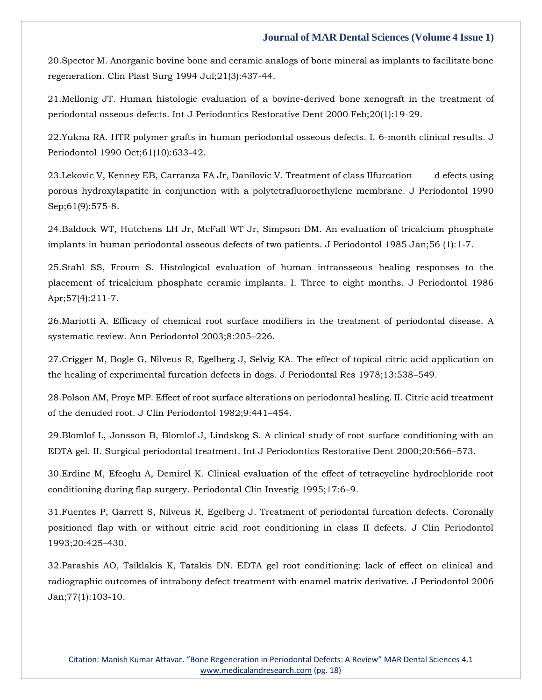20.Spector M. Anorganic bovine bone and ceramic analogs of bone mineral as implants to facilitate bone regeneration. Clin Plast Surg 1994 Jul;21(3):437-44.

21.Mellonig JT. Human histologic evaluation of a bovine-derived bone xenograft in the treatment of periodontal osseous defects. Int J Periodontics Restorative Dent 2000 Feb;20(1):19-29.

22.Yukna RA. HTR polymer grafts in human periodontal osseous defects. I. 6-month clinical results. J Periodontol 1990 Oct;61(10):633-42.

23.Lekovic V, Kenney EB, Carranza FA Jr, Danilovic V. Treatment of class IIfurcation d efects using porous hydroxylapatite in conjunction with a polytetrafluoroethylene membrane. J Periodontol 1990 Sep;61(9):575-8.

24.Baldock WT, Hutchens LH Jr, McFall WT Jr, Simpson DM. An evaluation of tricalcium phosphate implants in human periodontal osseous defects of two patients. J Periodontol 1985 Jan;56 (1):1-7.

25.Stahl SS, Froum S. Histological evaluation of human intraosseous healing responses to the placement of tricalcium phosphate ceramic implants. I. Three to eight months. J Periodontol 1986 Apr;57(4):211-7.

26.Mariotti A. Efficacy of chemical root surface modifiers in the treatment of periodontal disease. A systematic review. Ann Periodontol 2003;8:205–226.

27.Crigger M, Bogle G, Nilveus R, Egelberg J, Selvig KA. The effect of topical citric acid application on the healing of experimental furcation defects in dogs. J Periodontal Res 1978;13:538–549.

28.Polson AM, Proye MP. Effect of root surface alterations on periodontal healing. II. Citric acid treatment of the denuded root. J Clin Periodontol 1982;9:441–454.

29.Blomlof L, Jonsson B, Blomlof J, Lindskog S. A clinical study of root surface conditioning with an EDTA gel. II. Surgical periodontal treatment. Int J Periodontics Restorative Dent 2000;20:566–573.

30.Erdinc M, Efeoglu A, Demirel K. Clinical evaluation of the effect of tetracycline hydrochloride root conditioning during flap surgery. Periodontal Clin Investig 1995;17:6–9.

31.Fuentes P, Garrett S, Nilveus R, Egelberg J. Treatment of periodontal furcation defects. Coronally positioned flap with or without citric acid root conditioning in class II defects. J Clin Periodontol 1993;20:425–430.

32.Parashis AO, Tsiklakis K, Tatakis DN. EDTA gel root conditioning: lack of effect on clinical and radiographic outcomes of intrabony defect treatment with enamel matrix derivative. J Periodontol 2006 Jan;77(1):103-10.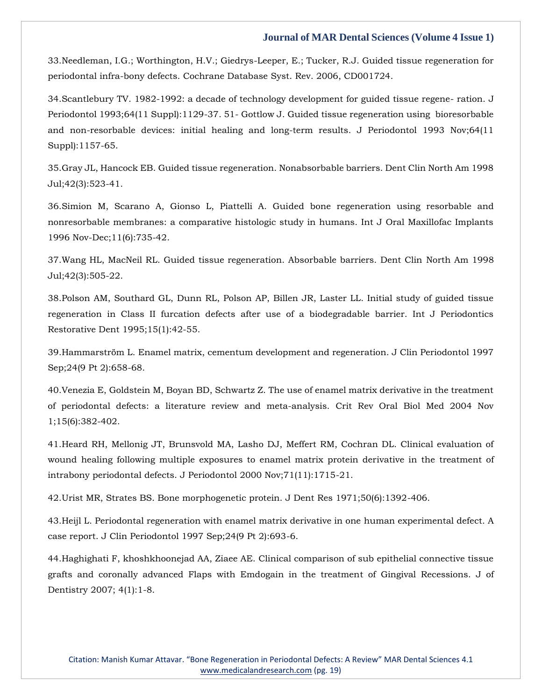33.Needleman, I.G.; Worthington, H.V.; Giedrys-Leeper, E.; Tucker, R.J. Guided tissue regeneration for periodontal infra-bony defects. Cochrane Database Syst. Rev. 2006, CD001724.

34.Scantlebury TV. 1982-1992: a decade of technology development for guided tissue regene- ration. J Periodontol 1993;64(11 Suppl):1129-37. 51- Gottlow J. Guided tissue regeneration using bioresorbable and non-resorbable devices: initial healing and long-term results. J Periodontol 1993 Nov;64(11 Suppl):1157-65.

35.Gray JL, Hancock EB. Guided tissue regeneration. Nonabsorbable barriers. Dent Clin North Am 1998 Jul;42(3):523-41.

36.Simion M, Scarano A, Gionso L, Piattelli A. Guided bone regeneration using resorbable and nonresorbable membranes: a comparative histologic study in humans. Int J Oral Maxillofac Implants 1996 Nov-Dec;11(6):735-42.

37.Wang HL, MacNeil RL. Guided tissue regeneration. Absorbable barriers. Dent Clin North Am 1998 Jul;42(3):505-22.

38.Polson AM, Southard GL, Dunn RL, Polson AP, Billen JR, Laster LL. Initial study of guided tissue regeneration in Class II furcation defects after use of a biodegradable barrier. Int J Periodontics Restorative Dent 1995;15(1):42-55.

39.Hammarström L. Enamel matrix, cementum development and regeneration. J Clin Periodontol 1997 Sep;24(9 Pt 2):658-68.

40.Venezia E, Goldstein M, Boyan BD, Schwartz Z. The use of enamel matrix derivative in the treatment of periodontal defects: a literature review and meta-analysis. Crit Rev Oral Biol Med 2004 Nov 1;15(6):382-402.

41.Heard RH, Mellonig JT, Brunsvold MA, Lasho DJ, Meffert RM, Cochran DL. Clinical evaluation of wound healing following multiple exposures to enamel matrix protein derivative in the treatment of intrabony periodontal defects. J Periodontol 2000 Nov;71(11):1715-21.

42.Urist MR, Strates BS. Bone morphogenetic protein. J Dent Res 1971;50(6):1392-406.

43.Heijl L. Periodontal regeneration with enamel matrix derivative in one human experimental defect. A case report. J Clin Periodontol 1997 Sep;24(9 Pt 2):693-6.

44.Haghighati F, khoshkhoonejad AA, Ziaee AE. Clinical comparison of sub epithelial connective tissue grafts and coronally advanced Flaps with Emdogain in the treatment of Gingival Recessions. J of Dentistry 2007; 4(1):1-8.